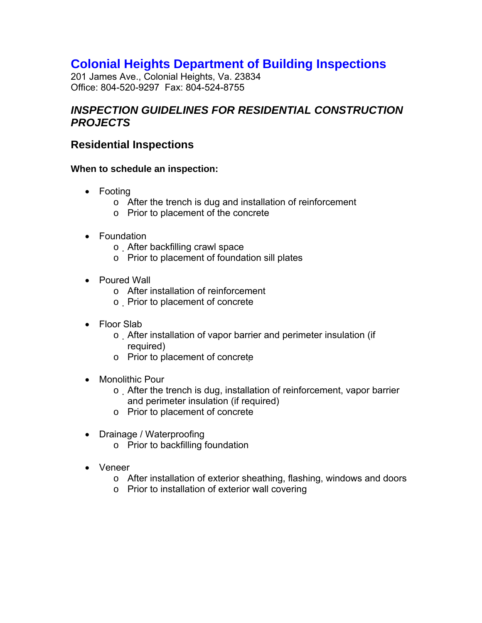# **Colonial Heights Department of Building Inspections**

201 James Ave., Colonial Heights, Va. 23834 Office: 804-520-9297 Fax: 804-524-8755

### *INSPECTION GUIDELINES FOR RESIDENTIAL CONSTRUCTION PROJECTS*

### **Residential Inspections**

#### **When to schedule an inspection:**

- Footing
	- o After the trench is dug and installation of reinforcement
	- o Prior to placement of the concrete
- Foundation
	- o After backfilling crawl space
	- o Prior to placement of foundation sill plates
- Poured Wall
	- o After installation of reinforcement
	- o Prior to placement of concrete
- Floor Slab
	- o After installation of vapor barrier and perimeter insulation (if required)
	- o Prior to placement of concrete
- Monolithic Pour
	- o After the trench is dug, installation of reinforcement, vapor barrier and perimeter insulation (if required)
	- o Prior to placement of concrete
- Drainage / Waterproofing
	- o Prior to backfilling foundation
- Veneer
	- o After installation of exterior sheathing, flashing, windows and doors
	- o Prior to installation of exterior wall covering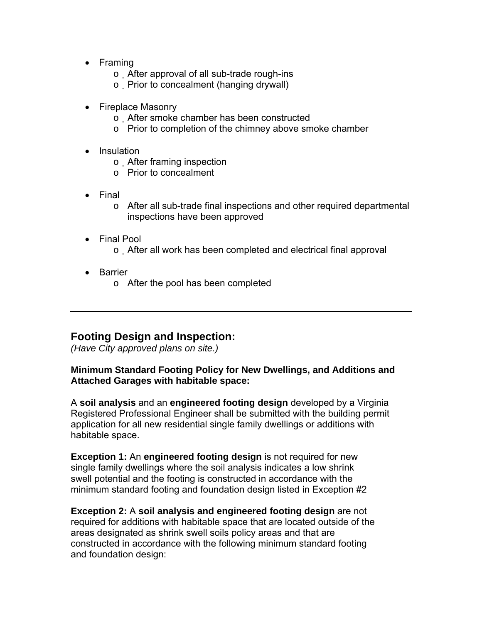- Framing
	- o After approval of all sub-trade rough-ins
	- o Prior to concealment (hanging drywall)
- Fireplace Masonry
	- o After smoke chamber has been constructed
	- o Prior to completion of the chimney above smoke chamber
- Insulation
	- o After framing inspection
	- o Prior to concealment
- Final
	- o After all sub-trade final inspections and other required departmental inspections have been approved
- Final Pool
	- o After all work has been completed and electrical final approval
- Barrier
	- o After the pool has been completed

### **Footing Design and Inspection:**

*(Have City approved plans on site.)* 

#### **Minimum Standard Footing Policy for New Dwellings, and Additions and Attached Garages with habitable space:**

A **soil analysis** and an **engineered footing design** developed by a Virginia Registered Professional Engineer shall be submitted with the building permit application for all new residential single family dwellings or additions with habitable space.

**Exception 1:** An **engineered footing design** is not required for new single family dwellings where the soil analysis indicates a low shrink swell potential and the footing is constructed in accordance with the minimum standard footing and foundation design listed in Exception #2

**Exception 2:** A **soil analysis and engineered footing design** are not required for additions with habitable space that are located outside of the areas designated as shrink swell soils policy areas and that are constructed in accordance with the following minimum standard footing and foundation design: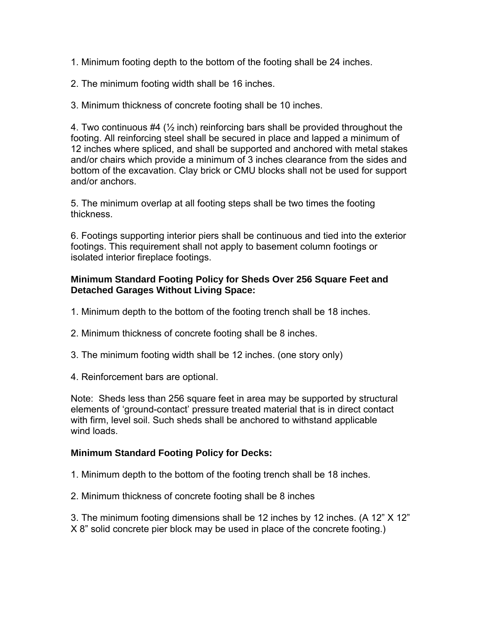1. Minimum footing depth to the bottom of the footing shall be 24 inches.

2. The minimum footing width shall be 16 inches.

3. Minimum thickness of concrete footing shall be 10 inches.

4. Two continuous  $#4$  ( $\frac{1}{2}$  inch) reinforcing bars shall be provided throughout the footing. All reinforcing steel shall be secured in place and lapped a minimum of 12 inches where spliced, and shall be supported and anchored with metal stakes and/or chairs which provide a minimum of 3 inches clearance from the sides and bottom of the excavation. Clay brick or CMU blocks shall not be used for support and/or anchors.

5. The minimum overlap at all footing steps shall be two times the footing thickness.

6. Footings supporting interior piers shall be continuous and tied into the exterior footings. This requirement shall not apply to basement column footings or isolated interior fireplace footings.

#### **Minimum Standard Footing Policy for Sheds Over 256 Square Feet and Detached Garages Without Living Space:**

- 1. Minimum depth to the bottom of the footing trench shall be 18 inches.
- 2. Minimum thickness of concrete footing shall be 8 inches.
- 3. The minimum footing width shall be 12 inches. (one story only)

4. Reinforcement bars are optional.

Note: Sheds less than 256 square feet in area may be supported by structural elements of 'ground-contact' pressure treated material that is in direct contact with firm, level soil. Such sheds shall be anchored to withstand applicable wind loads.

### **Minimum Standard Footing Policy for Decks:**

1. Minimum depth to the bottom of the footing trench shall be 18 inches.

2. Minimum thickness of concrete footing shall be 8 inches

3. The minimum footing dimensions shall be 12 inches by 12 inches. (A 12" X 12" X 8" solid concrete pier block may be used in place of the concrete footing.)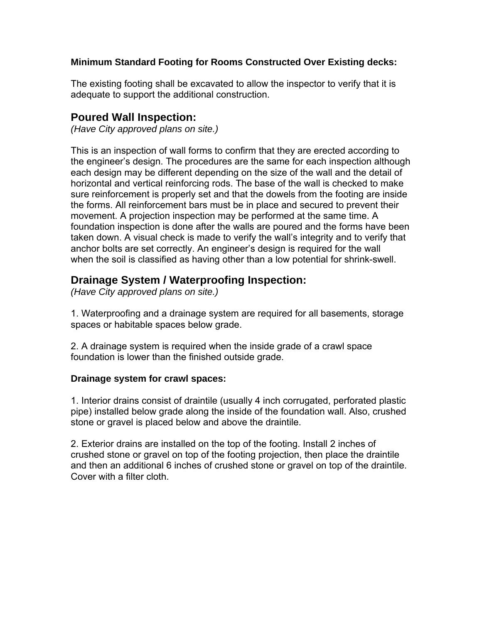#### **Minimum Standard Footing for Rooms Constructed Over Existing decks:**

The existing footing shall be excavated to allow the inspector to verify that it is adequate to support the additional construction.

### **Poured Wall Inspection:**

*(Have City approved plans on site.)* 

This is an inspection of wall forms to confirm that they are erected according to the engineer's design. The procedures are the same for each inspection although each design may be different depending on the size of the wall and the detail of horizontal and vertical reinforcing rods. The base of the wall is checked to make sure reinforcement is properly set and that the dowels from the footing are inside the forms. All reinforcement bars must be in place and secured to prevent their movement. A projection inspection may be performed at the same time. A foundation inspection is done after the walls are poured and the forms have been taken down. A visual check is made to verify the wall's integrity and to verify that anchor bolts are set correctly. An engineer's design is required for the wall when the soil is classified as having other than a low potential for shrink-swell.

## **Drainage System / Waterproofing Inspection:**

*(Have City approved plans on site.)* 

1. Waterproofing and a drainage system are required for all basements, storage spaces or habitable spaces below grade.

2. A drainage system is required when the inside grade of a crawl space foundation is lower than the finished outside grade.

#### **Drainage system for crawl spaces:**

1. Interior drains consist of draintile (usually 4 inch corrugated, perforated plastic pipe) installed below grade along the inside of the foundation wall. Also, crushed stone or gravel is placed below and above the draintile.

2. Exterior drains are installed on the top of the footing. Install 2 inches of crushed stone or gravel on top of the footing projection, then place the draintile and then an additional 6 inches of crushed stone or gravel on top of the draintile. Cover with a filter cloth.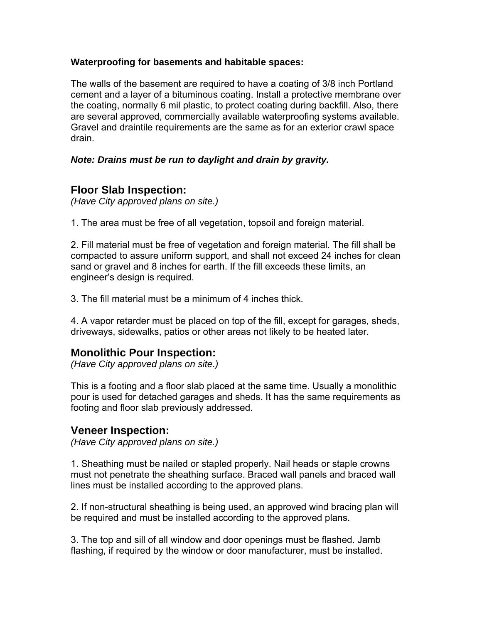#### **Waterproofing for basements and habitable spaces:**

The walls of the basement are required to have a coating of 3/8 inch Portland cement and a layer of a bituminous coating. Install a protective membrane over the coating, normally 6 mil plastic, to protect coating during backfill. Also, there are several approved, commercially available waterproofing systems available. Gravel and draintile requirements are the same as for an exterior crawl space drain.

#### *Note: Drains must be run to daylight and drain by gravity.*

### **Floor Slab Inspection:**

*(Have City approved plans on site.)* 

1. The area must be free of all vegetation, topsoil and foreign material.

2. Fill material must be free of vegetation and foreign material. The fill shall be compacted to assure uniform support, and shall not exceed 24 inches for clean sand or gravel and 8 inches for earth. If the fill exceeds these limits, an engineer's design is required.

3. The fill material must be a minimum of 4 inches thick.

4. A vapor retarder must be placed on top of the fill, except for garages, sheds, driveways, sidewalks, patios or other areas not likely to be heated later.

### **Monolithic Pour Inspection:**

*(Have City approved plans on site.)* 

This is a footing and a floor slab placed at the same time. Usually a monolithic pour is used for detached garages and sheds. It has the same requirements as footing and floor slab previously addressed.

### **Veneer Inspection:**

*(Have City approved plans on site.)* 

1. Sheathing must be nailed or stapled properly. Nail heads or staple crowns must not penetrate the sheathing surface. Braced wall panels and braced wall lines must be installed according to the approved plans.

2. If non-structural sheathing is being used, an approved wind bracing plan will be required and must be installed according to the approved plans.

3. The top and sill of all window and door openings must be flashed. Jamb flashing, if required by the window or door manufacturer, must be installed.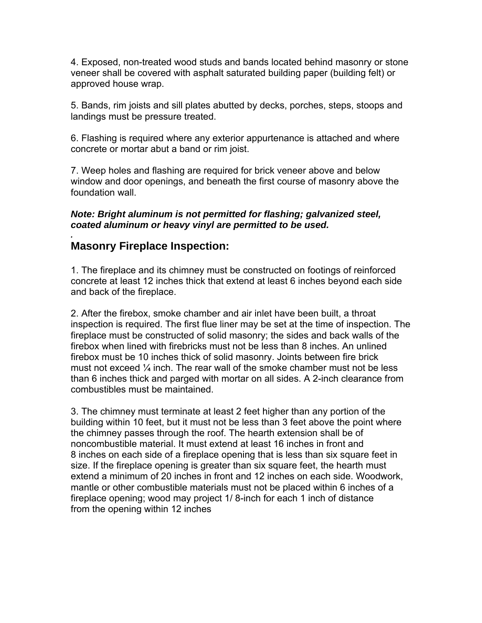4. Exposed, non-treated wood studs and bands located behind masonry or stone veneer shall be covered with asphalt saturated building paper (building felt) or approved house wrap.

5. Bands, rim joists and sill plates abutted by decks, porches, steps, stoops and landings must be pressure treated.

6. Flashing is required where any exterior appurtenance is attached and where concrete or mortar abut a band or rim joist.

7. Weep holes and flashing are required for brick veneer above and below window and door openings, and beneath the first course of masonry above the foundation wall.

*Note: Bright aluminum is not permitted for flashing; galvanized steel, coated aluminum or heavy vinyl are permitted to be used.* 

### **Masonry Fireplace Inspection:**

*.* 

1. The fireplace and its chimney must be constructed on footings of reinforced concrete at least 12 inches thick that extend at least 6 inches beyond each side and back of the fireplace.

2. After the firebox, smoke chamber and air inlet have been built, a throat inspection is required. The first flue liner may be set at the time of inspection. The fireplace must be constructed of solid masonry; the sides and back walls of the firebox when lined with firebricks must not be less than 8 inches. An unlined firebox must be 10 inches thick of solid masonry. Joints between fire brick must not exceed  $\frac{1}{4}$  inch. The rear wall of the smoke chamber must not be less than 6 inches thick and parged with mortar on all sides. A 2-inch clearance from combustibles must be maintained.

3. The chimney must terminate at least 2 feet higher than any portion of the building within 10 feet, but it must not be less than 3 feet above the point where the chimney passes through the roof. The hearth extension shall be of noncombustible material. It must extend at least 16 inches in front and 8 inches on each side of a fireplace opening that is less than six square feet in size. If the fireplace opening is greater than six square feet, the hearth must extend a minimum of 20 inches in front and 12 inches on each side. Woodwork, mantle or other combustible materials must not be placed within 6 inches of a fireplace opening; wood may project 1/ 8-inch for each 1 inch of distance from the opening within 12 inches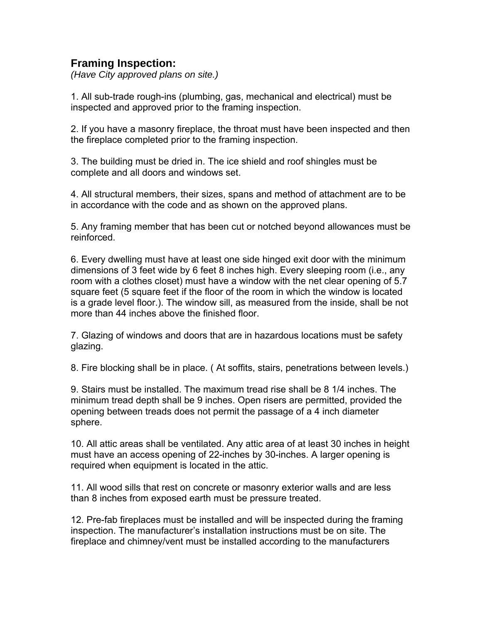### **Framing Inspection:**

*(Have City approved plans on site.)* 

1. All sub-trade rough-ins (plumbing, gas, mechanical and electrical) must be inspected and approved prior to the framing inspection.

2. If you have a masonry fireplace, the throat must have been inspected and then the fireplace completed prior to the framing inspection.

3. The building must be dried in. The ice shield and roof shingles must be complete and all doors and windows set.

4. All structural members, their sizes, spans and method of attachment are to be in accordance with the code and as shown on the approved plans.

5. Any framing member that has been cut or notched beyond allowances must be reinforced.

6. Every dwelling must have at least one side hinged exit door with the minimum dimensions of 3 feet wide by 6 feet 8 inches high. Every sleeping room (i.e., any room with a clothes closet) must have a window with the net clear opening of 5.7 square feet (5 square feet if the floor of the room in which the window is located is a grade level floor.). The window sill, as measured from the inside, shall be not more than 44 inches above the finished floor.

7. Glazing of windows and doors that are in hazardous locations must be safety glazing.

8. Fire blocking shall be in place. ( At soffits, stairs, penetrations between levels.)

9. Stairs must be installed. The maximum tread rise shall be 8 1/4 inches. The minimum tread depth shall be 9 inches. Open risers are permitted, provided the opening between treads does not permit the passage of a 4 inch diameter sphere.

10. All attic areas shall be ventilated. Any attic area of at least 30 inches in height must have an access opening of 22-inches by 30-inches. A larger opening is required when equipment is located in the attic.

11. All wood sills that rest on concrete or masonry exterior walls and are less than 8 inches from exposed earth must be pressure treated.

12. Pre-fab fireplaces must be installed and will be inspected during the framing inspection. The manufacturer's installation instructions must be on site. The fireplace and chimney/vent must be installed according to the manufacturers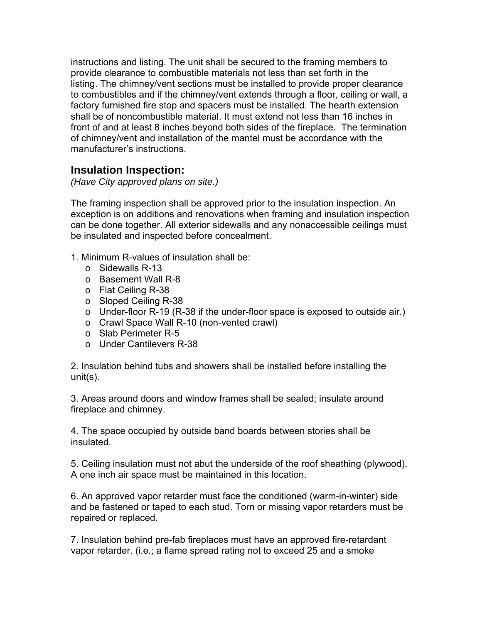instructions and listing. The unit shall be secured to the framing members to provide clearance to combustible materials not less than set forth in the listing. The chimney/vent sections must be installed to provide proper clearance to combustibles and if the chimney/vent extends through a floor, ceiling or wall, a factory furnished fire stop and spacers must be installed. The hearth extension shall be of noncombustible material. It must extend not less than 16 inches in front of and at least 8 inches beyond both sides of the fireplace. The termination of chimney/vent and installation of the mantel must be accordance with the manufacturer's instructions.

### **Insulation Inspection:**

*(Have City approved plans on site.)* 

The framing inspection shall be approved prior to the insulation inspection. An exception is on additions and renovations when framing and insulation inspection can be done together. All exterior sidewalls and any nonaccessible ceilings must be insulated and inspected before concealment.

- 1. Minimum R-values of insulation shall be:
	- o Sidewalls R-13
	- o Basement Wall R-8
	- o Flat Ceiling R-38
	- o Sloped Ceiling R-38
	- o Under-floor R-19 (R-38 if the under-floor space is exposed to outside air.)
	- o Crawl Space Wall R-10 (non-vented crawl)
	- o Slab Perimeter R-5
	- o Under Cantilevers R-38

2. Insulation behind tubs and showers shall be installed before installing the unit(s).

3. Areas around doors and window frames shall be sealed; insulate around fireplace and chimney.

4. The space occupied by outside band boards between stories shall be insulated.

5. Ceiling insulation must not abut the underside of the roof sheathing (plywood). A one inch air space must be maintained in this location.

6. An approved vapor retarder must face the conditioned (warm-in-winter) side and be fastened or taped to each stud. Torn or missing vapor retarders must be repaired or replaced.

7. Insulation behind pre-fab fireplaces must have an approved fire-retardant vapor retarder. (i.e.; a flame spread rating not to exceed 25 and a smoke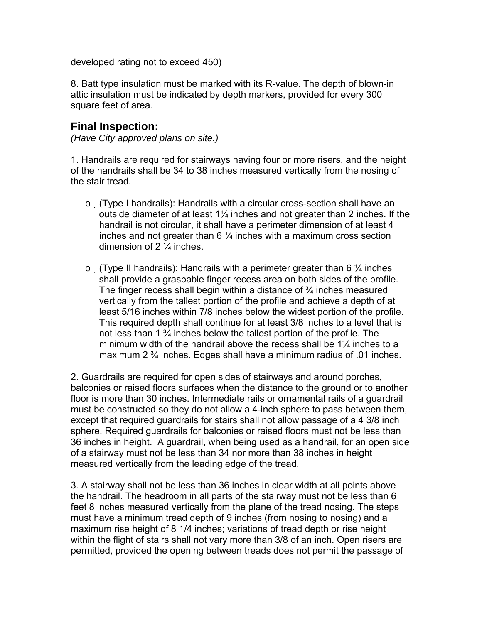developed rating not to exceed 450)

8. Batt type insulation must be marked with its R-value. The depth of blown-in attic insulation must be indicated by depth markers, provided for every 300 square feet of area.

### **Final Inspection:**

*(Have City approved plans on site.)* 

1. Handrails are required for stairways having four or more risers, and the height of the handrails shall be 34 to 38 inches measured vertically from the nosing of the stair tread.

- o (Type I handrails): Handrails with a circular cross-section shall have an outside diameter of at least 1¼ inches and not greater than 2 inches. If the handrail is not circular, it shall have a perimeter dimension of at least 4 inches and not greater than  $6\frac{1}{4}$  inches with a maximum cross section dimension of 2 ¼ inches.
- $\circ$  (Type II handrails): Handrails with a perimeter greater than 6  $\frac{1}{4}$  inches shall provide a graspable finger recess area on both sides of the profile. The finger recess shall begin within a distance of  $\frac{3}{4}$  inches measured vertically from the tallest portion of the profile and achieve a depth of at least 5/16 inches within 7/8 inches below the widest portion of the profile. This required depth shall continue for at least 3/8 inches to a level that is not less than 1 ¾ inches below the tallest portion of the profile. The minimum width of the handrail above the recess shall be 1¼ inches to a maximum 2 ¾ inches. Edges shall have a minimum radius of .01 inches.

2. Guardrails are required for open sides of stairways and around porches, balconies or raised floors surfaces when the distance to the ground or to another floor is more than 30 inches. Intermediate rails or ornamental rails of a guardrail must be constructed so they do not allow a 4-inch sphere to pass between them, except that required guardrails for stairs shall not allow passage of a 4 3/8 inch sphere. Required guardrails for balconies or raised floors must not be less than 36 inches in height. A guardrail, when being used as a handrail, for an open side of a stairway must not be less than 34 nor more than 38 inches in height measured vertically from the leading edge of the tread.

3. A stairway shall not be less than 36 inches in clear width at all points above the handrail. The headroom in all parts of the stairway must not be less than 6 feet 8 inches measured vertically from the plane of the tread nosing. The steps must have a minimum tread depth of 9 inches (from nosing to nosing) and a maximum rise height of 8 1/4 inches; variations of tread depth or rise height within the flight of stairs shall not vary more than 3/8 of an inch. Open risers are permitted, provided the opening between treads does not permit the passage of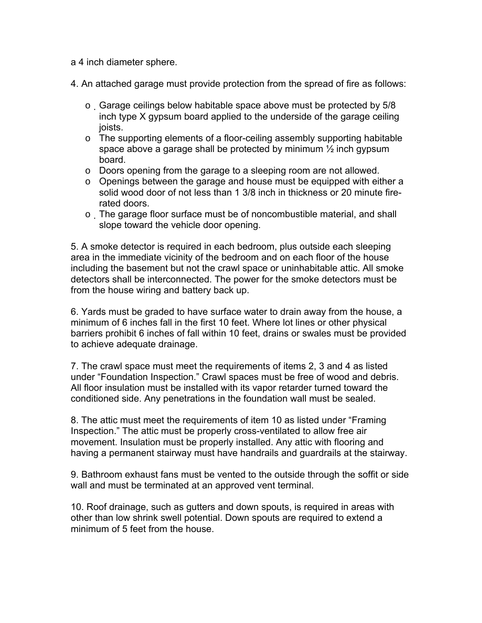a 4 inch diameter sphere.

4. An attached garage must provide protection from the spread of fire as follows:

- $\circ$  Garage ceilings below habitable space above must be protected by 5/8 inch type X gypsum board applied to the underside of the garage ceiling joists.
- o The supporting elements of a floor-ceiling assembly supporting habitable space above a garage shall be protected by minimum ½ inch gypsum board.
- o Doors opening from the garage to a sleeping room are not allowed.
- o Openings between the garage and house must be equipped with either a solid wood door of not less than 1 3/8 inch in thickness or 20 minute firerated doors.
- o The garage floor surface must be of noncombustible material, and shall slope toward the vehicle door opening.

5. A smoke detector is required in each bedroom, plus outside each sleeping area in the immediate vicinity of the bedroom and on each floor of the house including the basement but not the crawl space or uninhabitable attic. All smoke detectors shall be interconnected. The power for the smoke detectors must be from the house wiring and battery back up.

6. Yards must be graded to have surface water to drain away from the house, a minimum of 6 inches fall in the first 10 feet. Where lot lines or other physical barriers prohibit 6 inches of fall within 10 feet, drains or swales must be provided to achieve adequate drainage.

7. The crawl space must meet the requirements of items 2, 3 and 4 as listed under "Foundation Inspection." Crawl spaces must be free of wood and debris. All floor insulation must be installed with its vapor retarder turned toward the conditioned side. Any penetrations in the foundation wall must be sealed.

8. The attic must meet the requirements of item 10 as listed under "Framing Inspection." The attic must be properly cross-ventilated to allow free air movement. Insulation must be properly installed. Any attic with flooring and having a permanent stairway must have handrails and guardrails at the stairway.

9. Bathroom exhaust fans must be vented to the outside through the soffit or side wall and must be terminated at an approved vent terminal.

10. Roof drainage, such as gutters and down spouts, is required in areas with other than low shrink swell potential. Down spouts are required to extend a minimum of 5 feet from the house.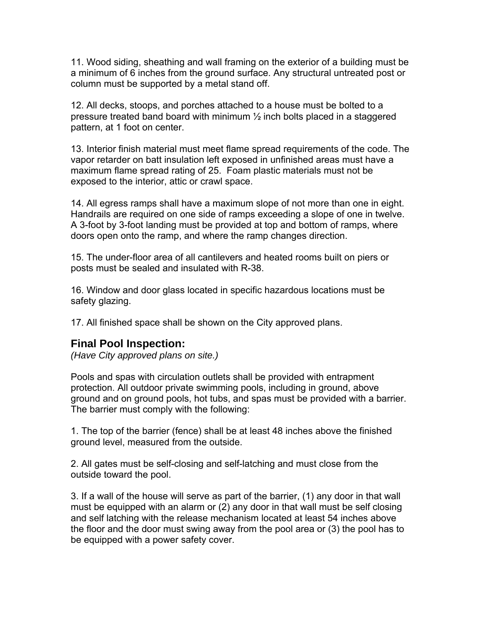11. Wood siding, sheathing and wall framing on the exterior of a building must be a minimum of 6 inches from the ground surface. Any structural untreated post or column must be supported by a metal stand off.

12. All decks, stoops, and porches attached to a house must be bolted to a pressure treated band board with minimum  $\frac{1}{2}$  inch bolts placed in a staggered pattern, at 1 foot on center.

13. Interior finish material must meet flame spread requirements of the code. The vapor retarder on batt insulation left exposed in unfinished areas must have a maximum flame spread rating of 25. Foam plastic materials must not be exposed to the interior, attic or crawl space.

14. All egress ramps shall have a maximum slope of not more than one in eight. Handrails are required on one side of ramps exceeding a slope of one in twelve. A 3-foot by 3-foot landing must be provided at top and bottom of ramps, where doors open onto the ramp, and where the ramp changes direction.

15. The under-floor area of all cantilevers and heated rooms built on piers or posts must be sealed and insulated with R-38.

16. Window and door glass located in specific hazardous locations must be safety glazing.

17. All finished space shall be shown on the City approved plans.

### **Final Pool Inspection:**

*(Have City approved plans on site.)* 

Pools and spas with circulation outlets shall be provided with entrapment protection. All outdoor private swimming pools, including in ground, above ground and on ground pools, hot tubs, and spas must be provided with a barrier. The barrier must comply with the following:

1. The top of the barrier (fence) shall be at least 48 inches above the finished ground level, measured from the outside.

2. All gates must be self-closing and self-latching and must close from the outside toward the pool.

3. If a wall of the house will serve as part of the barrier, (1) any door in that wall must be equipped with an alarm or (2) any door in that wall must be self closing and self latching with the release mechanism located at least 54 inches above the floor and the door must swing away from the pool area or (3) the pool has to be equipped with a power safety cover.